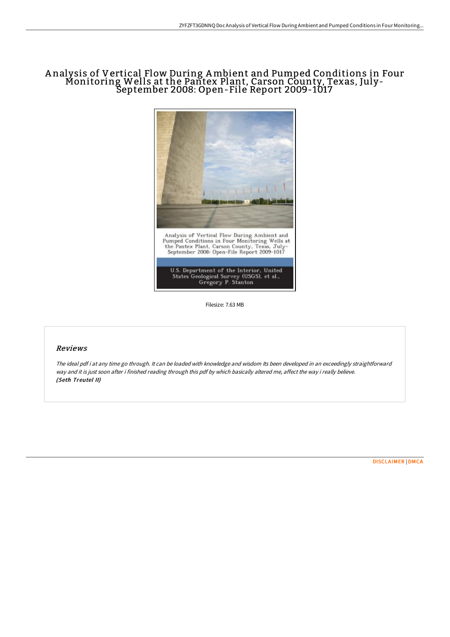# A nalysis of Vertical Flow During Ambient and Pumped Conditions in Four Monitoring Wells at the Pantex Plant, Carson County, Texas, July-September 2008: Open-File Report 2009-1017



Filesize: 7.63 MB

### Reviews

The ideal pdf i at any time go through. It can be loaded with knowledge and wisdom Its been developed in an exceedingly straightforward way and it is just soon after i finished reading through this pdf by which basically altered me, affect the way i really believe. (Seth Treutel II)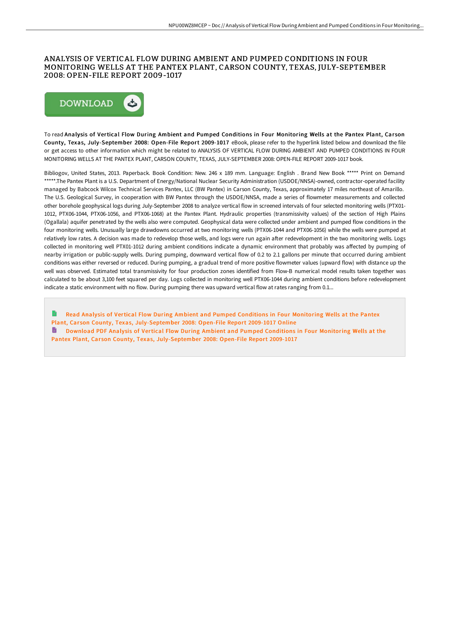## ANALYSIS OF VERTICAL FLOW DURING AMBIENT AND PUMPED CONDITIONS IN FOUR MONITORING WELLS AT THE PANTEX PLANT, CARSON COUNTY, TEXAS, JULY-SEPTEMBER 2008: OPEN-FILE REPORT 2009-1017



To read Analysis of Vertical Flow During Ambient and Pumped Conditions in Four Monitoring Wells at the Pantex Plant, Carson County, Texas, July-September 2008: Open-File Report 2009-1017 eBook, please refer to the hyperlink listed below and download the file or get access to other information which might be related to ANALYSIS OF VERTICAL FLOW DURING AMBIENT AND PUMPED CONDITIONS IN FOUR MONITORING WELLS AT THE PANTEX PLANT, CARSON COUNTY, TEXAS, JULY-SEPTEMBER 2008: OPEN-FILE REPORT 2009-1017 book.

Bibliogov, United States, 2013. Paperback. Book Condition: New. 246 x 189 mm. Language: English . Brand New Book \*\*\*\*\* Print on Demand \*\*\*\*\*.The Pantex Plant is a U.S. Department of Energy/National Nuclear Security Administration (USDOE/NNSA)-owned, contractor-operated facility managed by Babcock Wilcox Technical Services Pantex, LLC (BW Pantex) in Carson County, Texas, approximately 17 miles northeast of Amarillo. The U.S. Geological Survey, in cooperation with BW Pantex through the USDOE/NNSA, made a series of flowmeter measurements and collected other borehole geophysical logs during July-September 2008 to analyze vertical flow in screened intervals of four selected monitoring wells (PTX01- 1012, PTX06-1044, PTX06-1056, and PTX06-1068) at the Pantex Plant. Hydraulic properties (transmissivity values) of the section of High Plains (Ogallala) aquifer penetrated by the wells also were computed. Geophysical data were collected under ambient and pumped flow conditions in the four monitoring wells. Unusually large drawdowns occurred at two monitoring wells (PTX06-1044 and PTX06-1056) while the wells were pumped at relatively low rates. A decision was made to redevelop those wells, and logs were run again after redevelopment in the two monitoring wells. Logs collected in monitoring well PTX01-1012 during ambient conditions indicate a dynamic environment that probably was affected by pumping of nearby irrigation or public-supply wells. During pumping, downward vertical flow of 0.2 to 2.1 gallons per minute that occurred during ambient conditions was either reversed or reduced. During pumping, a gradual trend of more positive flowmeter values (upward flow) with distance up the well was observed. Estimated total transmissivity for four production zones identified from Flow-B numerical model results taken together was calculated to be about 3,100 feet squared per day. Logs collected in monitoring well PTX06-1044 during ambient conditions before redevelopment indicate a static environment with no flow. During pumping there was upward vertical flow at rates ranging from 0.1...

R Read Analysis of Vertical Flow During Ambient and Pumped Conditions in Four Monitoring Wells at the Pantex Plant, Carson County, Texas, [July-September](http://techno-pub.tech/analysis-of-vertical-flow-during-ambient-and-pum.html) 2008: Open-File Report 2009-1017 Online Download PDF Analysis of Vertical Flow During Ambient and Pumped Conditions in Four Monitoring Wells at the Pantex Plant, Carson County, Texas, [July-September](http://techno-pub.tech/analysis-of-vertical-flow-during-ambient-and-pum.html) 2008: Open-File Report 2009-1017